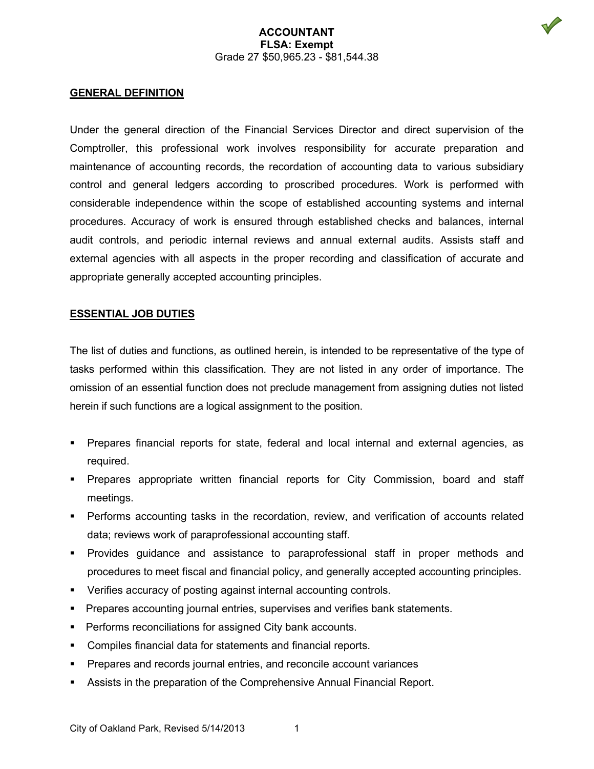### **ACCOUNTANT FLSA: Exempt** Grade 27 \$50,965.23 - \$81,544.38



## **GENERAL DEFINITION**

Under the general direction of the Financial Services Director and direct supervision of the Comptroller, this professional work involves responsibility for accurate preparation and maintenance of accounting records, the recordation of accounting data to various subsidiary control and general ledgers according to proscribed procedures. Work is performed with considerable independence within the scope of established accounting systems and internal procedures. Accuracy of work is ensured through established checks and balances, internal audit controls, and periodic internal reviews and annual external audits. Assists staff and external agencies with all aspects in the proper recording and classification of accurate and appropriate generally accepted accounting principles.

### **ESSENTIAL JOB DUTIES**

The list of duties and functions, as outlined herein, is intended to be representative of the type of tasks performed within this classification. They are not listed in any order of importance. The omission of an essential function does not preclude management from assigning duties not listed herein if such functions are a logical assignment to the position.

- Prepares financial reports for state, federal and local internal and external agencies, as required.
- **Prepares appropriate written financial reports for City Commission, board and staff** meetings.
- Performs accounting tasks in the recordation, review, and verification of accounts related data; reviews work of paraprofessional accounting staff.
- Provides guidance and assistance to paraprofessional staff in proper methods and procedures to meet fiscal and financial policy, and generally accepted accounting principles.
- Verifies accuracy of posting against internal accounting controls.
- Prepares accounting journal entries, supervises and verifies bank statements.
- **Performs reconciliations for assigned City bank accounts.**
- Compiles financial data for statements and financial reports.
- Prepares and records journal entries, and reconcile account variances
- Assists in the preparation of the Comprehensive Annual Financial Report.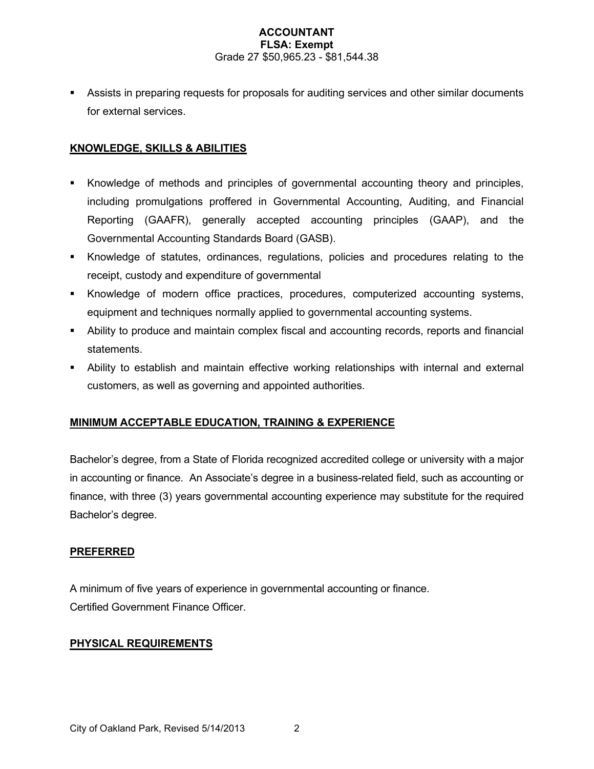## **ACCOUNTANT FLSA: Exempt** Grade 27 \$50,965.23 - \$81,544.38

 Assists in preparing requests for proposals for auditing services and other similar documents for external services.

# **KNOWLEDGE, SKILLS & ABILITIES**

- Knowledge of methods and principles of governmental accounting theory and principles, including promulgations proffered in Governmental Accounting, Auditing, and Financial Reporting (GAAFR), generally accepted accounting principles (GAAP), and the Governmental Accounting Standards Board (GASB).
- Knowledge of statutes, ordinances, regulations, policies and procedures relating to the receipt, custody and expenditure of governmental
- Knowledge of modern office practices, procedures, computerized accounting systems, equipment and techniques normally applied to governmental accounting systems.
- Ability to produce and maintain complex fiscal and accounting records, reports and financial statements.
- Ability to establish and maintain effective working relationships with internal and external customers, as well as governing and appointed authorities.

# **MINIMUM ACCEPTABLE EDUCATION, TRAINING & EXPERIENCE**

Bachelor's degree, from a State of Florida recognized accredited college or university with a major in accounting or finance. An Associate's degree in a business-related field, such as accounting or finance, with three (3) years governmental accounting experience may substitute for the required Bachelor's degree.

# **PREFERRED**

A minimum of five years of experience in governmental accounting or finance. Certified Government Finance Officer.

# **PHYSICAL REQUIREMENTS**